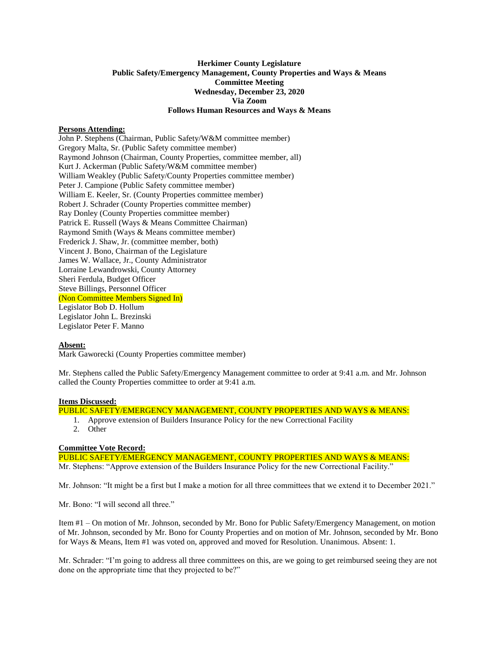# **Herkimer County Legislature Public Safety/Emergency Management, County Properties and Ways & Means Committee Meeting Wednesday, December 23, 2020 Via Zoom Follows Human Resources and Ways & Means**

# **Persons Attending:**

John P. Stephens (Chairman, Public Safety/W&M committee member) Gregory Malta, Sr. (Public Safety committee member) Raymond Johnson (Chairman, County Properties, committee member, all) Kurt J. Ackerman (Public Safety/W&M committee member) William Weakley (Public Safety/County Properties committee member) Peter J. Campione (Public Safety committee member) William E. Keeler, Sr. (County Properties committee member) Robert J. Schrader (County Properties committee member) Ray Donley (County Properties committee member) Patrick E. Russell (Ways & Means Committee Chairman) Raymond Smith (Ways & Means committee member) Frederick J. Shaw, Jr. (committee member, both) Vincent J. Bono, Chairman of the Legislature James W. Wallace, Jr., County Administrator Lorraine Lewandrowski, County Attorney Sheri Ferdula, Budget Officer Steve Billings, Personnel Officer (Non Committee Members Signed In) Legislator Bob D. Hollum Legislator John L. Brezinski Legislator Peter F. Manno

### **Absent:**

Mark Gaworecki (County Properties committee member)

Mr. Stephens called the Public Safety/Emergency Management committee to order at 9:41 a.m. and Mr. Johnson called the County Properties committee to order at 9:41 a.m.

#### **Items Discussed:**

PUBLIC SAFETY/EMERGENCY MANAGEMENT, COUNTY PROPERTIES AND WAYS & MEANS:

- 1. Approve extension of Builders Insurance Policy for the new Correctional Facility
- 2. Other

# **Committee Vote Record:**

PUBLIC SAFETY/EMERGENCY MANAGEMENT, COUNTY PROPERTIES AND WAYS & MEANS: Mr. Stephens: "Approve extension of the Builders Insurance Policy for the new Correctional Facility."

Mr. Johnson: "It might be a first but I make a motion for all three committees that we extend it to December 2021."

Mr. Bono: "I will second all three."

Item #1 – On motion of Mr. Johnson, seconded by Mr. Bono for Public Safety/Emergency Management, on motion of Mr. Johnson, seconded by Mr. Bono for County Properties and on motion of Mr. Johnson, seconded by Mr. Bono for Ways & Means, Item #1 was voted on, approved and moved for Resolution. Unanimous. Absent: 1.

Mr. Schrader: "I'm going to address all three committees on this, are we going to get reimbursed seeing they are not done on the appropriate time that they projected to be?"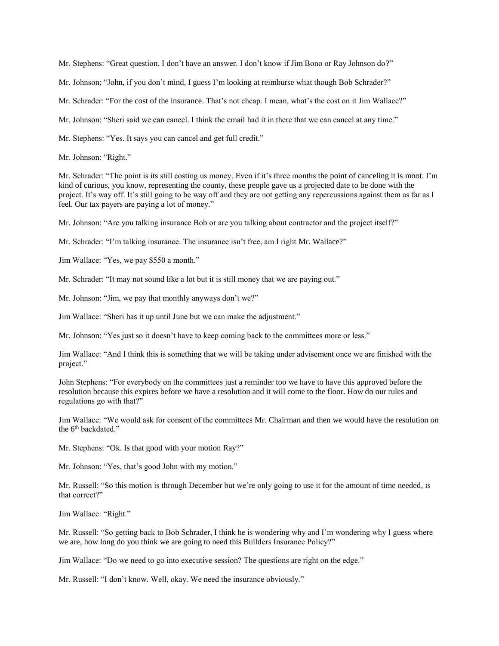Mr. Stephens: "Great question. I don't have an answer. I don't know if Jim Bono or Ray Johnson do?"

Mr. Johnson; "John, if you don't mind, I guess I'm looking at reimburse what though Bob Schrader?"

Mr. Schrader: "For the cost of the insurance. That's not cheap. I mean, what's the cost on it Jim Wallace?"

Mr. Johnson: "Sheri said we can cancel. I think the email had it in there that we can cancel at any time."

Mr. Stephens: "Yes. It says you can cancel and get full credit."

Mr. Johnson: "Right."

Mr. Schrader: "The point is its still costing us money. Even if it's three months the point of canceling it is moot. I'm kind of curious, you know, representing the county, these people gave us a projected date to be done with the project. It's way off. It's still going to be way off and they are not getting any repercussions against them as far as I feel. Our tax payers are paying a lot of money."

Mr. Johnson: "Are you talking insurance Bob or are you talking about contractor and the project itself?"

Mr. Schrader: "I'm talking insurance. The insurance isn't free, am I right Mr. Wallace?"

Jim Wallace: "Yes, we pay \$550 a month."

Mr. Schrader: "It may not sound like a lot but it is still money that we are paying out."

Mr. Johnson: "Jim, we pay that monthly anyways don't we?"

Jim Wallace: "Sheri has it up until June but we can make the adjustment."

Mr. Johnson: "Yes just so it doesn't have to keep coming back to the committees more or less."

Jim Wallace: "And I think this is something that we will be taking under advisement once we are finished with the project."

John Stephens: "For everybody on the committees just a reminder too we have to have this approved before the resolution because this expires before we have a resolution and it will come to the floor. How do our rules and regulations go with that?"

Jim Wallace: "We would ask for consent of the committees Mr. Chairman and then we would have the resolution on the 6th backdated."

Mr. Stephens: "Ok. Is that good with your motion Ray?"

Mr. Johnson: "Yes, that's good John with my motion."

Mr. Russell: "So this motion is through December but we're only going to use it for the amount of time needed, is that correct?"

Jim Wallace: "Right."

Mr. Russell: "So getting back to Bob Schrader, I think he is wondering why and I'm wondering why I guess where we are, how long do you think we are going to need this Builders Insurance Policy?"

Jim Wallace: "Do we need to go into executive session? The questions are right on the edge."

Mr. Russell: "I don't know. Well, okay. We need the insurance obviously."